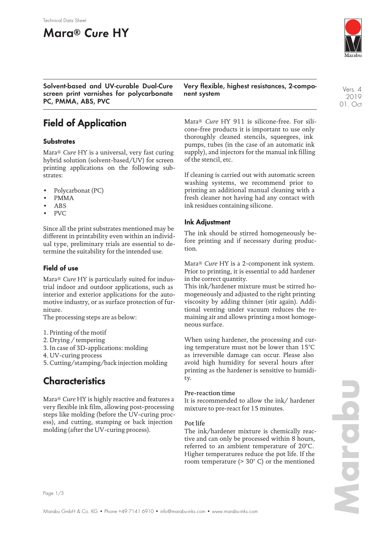#### Technical Data Sheet

# **Mara® Cure HY**

**Solvent-based and UV-curable Dual-Cure screen print varnishes for polycarbonate PC, PMMA, ABS, PVC**

## **Field of Application**

#### **Substrates**

Mara® *Cure* HY is a universal, very fast curing hybrid solution (solvent-based/UV) for screen printing applications on the following substrates:

- Polycarbonat (PC)
- PMMA
- ABS
- PVC

Since all the print substrates mentioned may be different in printability even within an individual type, preliminary trials are essential to determine the suitability for the intended use.

#### **Field of use**

Mara® *Cure* HY is particularly suited for industrial indoor and outdoor applications, such as interior and exterior applications for the automotive industry, or as surface protection of furniture.

The processing steps are as below:

- 1. Printing of the motif
- 2. Drying / tempering
- 3. In case of 3D-applications: molding
- 4. UV-curing process
- 5. Cutting/stamping/back injection molding

## **Characteristics**

Mara® *Cure* HY is highly reactive and features a very flexible ink film, allowing post-processing steps like molding (before the UV-curing process), and cutting, stamping or back injection molding (after the UV-curing process).

Page 1/3

**Very flexible, highest resistances, 2-component system**

Mara® *Cure* HY 911 is silicone-free. For silicone-free products it is important to use only thoroughly cleaned stencils, squeegees, ink pumps, tubes (in the case of an automatic ink supply), and injectors for the manual ink filling of the stencil, etc.

If cleaning is carried out with automatic screen washing systems, we recommend prior to printing an additional manual cleaning with a fresh cleaner not having had any contact with ink residues containing silicone.

### **Ink Adjustment**

The ink should be stirred homogeneously before printing and if necessary during production.

Mara® *Cure* HY is a 2-component ink system. Prior to printing, it is essential to add hardener in the correct quantity.

This ink/hardener mixture must be stirred homogeneously and adjusted to the right printing viscosity by adding thinner (stir again). Additional venting under vacuum reduces the remaining air and allows printing a most homogeneous surface.

When using hardener, the processing and curing temperature must not be lower than 15°C as irreversible damage can occur. Please also avoid high humidity for several hours after printing as the hardener is sensitive to humidity.

#### Pre-reaction time

It is recommended to allow the ink/ hardener mixture to pre-react for 15 minutes.

#### Pot life

The ink/hardener mixture is chemically reactive and can only be processed within 8 hours, referred to an ambient temperature of 20°C. Higher temperatures reduce the pot life. If the room temperature (> 30° C) or the mentioned

Vers. 4 2019 01. Oct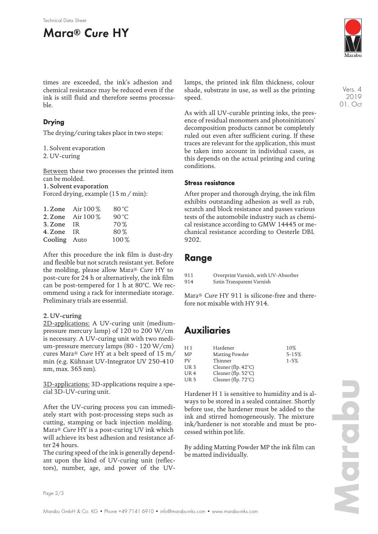# **Mara® Cure HY**



Vers. 4 2019 01. Oct

times are exceeded, the ink's adhesion and chemical resistance may be reduced even if the ink is still fluid and therefore seems processable.

### **Drying**

The drying/curing takes place in two steps:

1. Solvent evaporation

2. UV-curing

Between these two processes the printed item can be molded. 1. Solvent evaporation Forced drying, example (15 m / min):

|              | 1. Zone Air 100 %   | 80 °C |
|--------------|---------------------|-------|
|              | 2. Zone Air $100\%$ | 90 °C |
| 3. Zone IR   |                     | 70 %  |
| 4. Zone IR   |                     | 80%   |
| Cooling Auto |                     | 100%  |

After this procedure the ink film is dust-dry and flexible but not scratch resistant yet. Before the molding, please allow Mara® *Cure* HY to post-cure for 24 h or alternatively, the ink film can be post-tempered for 1 h at 80°C. We recommend using a rack for intermediate storage. Preliminary trials are essential.

#### 2. UV-curing

2D-applications: A UV-curing unit (mediumpressure mercury lamp) of 120 to 200 W/cm is necessary. A UV-curing unit with two medium-pressure mercury lamps (80 - 120 W/cm) cures Mara® *Cure* HY at a belt speed of 15 m/ min (e.g. Kühnast UV-Integrator UV 250-410 nm, max. 365 nm).

3D-applications: 3D-applications require a special 3D-UV-curing unit.

After the UV-curing process you can immediately start with post-processing steps such as cutting, stamping or back injection molding. Mara® *Cure* HY is a post-curing UV ink which will achieve its best adhesion and resistance after 24 hours.

The curing speed of the ink is generally dependant upon the kind of UV-curing unit (reflectors), number, age, and power of the UV- lamps, the printed ink film thickness, colour shade, substrate in use, as well as the printing speed.

As with all UV-curable printing inks, the presence of residual monomers and photoinitiators' decomposition products cannot be completely ruled out even after sufficient curing. If these traces are relevant for the application, this must be taken into account in individual cases, as this depends on the actual printing and curing conditions.

### **Stress resistance**

After proper and thorough drying, the ink film exhibits outstanding adhesion as well as rub, scratch and block resistance and passes various tests of the automobile industry such as chemical resistance according to GMW 14445 or mechanical resistance according to Oesterle DBL 9202.

### **Range**

| 911 | Overprint Varnish, with UV-Absorber |
|-----|-------------------------------------|
| 914 | Satin Transparent Varnish           |

Mara® *Cure* HY 911 is silicone-free and therefore not mixable with HY 914.

## **Auxiliaries**

| H 1             | Hardener                      | 10%       |
|-----------------|-------------------------------|-----------|
| MP              | Matting Powder                | $5 - 15%$ |
| PV              | Thinner                       | $1 - 5%$  |
| UR <sub>3</sub> | Cleaner (flp. $42^{\circ}$ C) |           |
| UR <sub>4</sub> | Cleaner (flp. $52^{\circ}$ C) |           |
| UR <sub>5</sub> | Cleaner (flp. 72°C)           |           |
|                 |                               |           |

Hardener H 1 is sensitive to humidity and is always to be stored in a sealed container. Shortly before use, the hardener must be added to the ink and stirred homogeneously. The mixture ink/hardener is not storable and must be processed within pot life.

By adding Matting Powder MP the ink film can be matted individually.